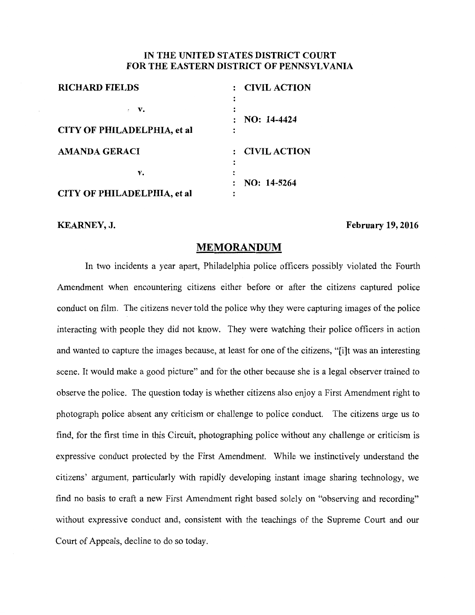## **IN THE UNITED STATES DISTRICT COURT FOR THE EASTERN DISTRICT OF PENNSYLVANIA**

| <b>RICHARD FIELDS</b>       | : CIVIL ACTION      |
|-----------------------------|---------------------|
| $\cdot$ V.                  |                     |
|                             | NO: 14-4424         |
| CITY OF PHILADELPHIA, et al |                     |
| <b>AMANDA GERACI</b>        | <b>CIVIL ACTION</b> |
|                             |                     |
| v.                          |                     |
|                             | $NO: 14-5264$       |
| CITY OF PHILADELPHIA, et al |                     |

**KEARNEY, J.** February 19, 2016

## **MEMORANDUM**

In two incidents a year apart, Philadelphia police officers possibly violated the Fourth Amendment when encountering citizens either before or after the citizens captured police conduct on film. The citizens never told the police why they were capturing images of the police interacting with people they did not know. They were watching their police officers in action and wanted to capture the images because, at least for one of the citizens, "[i]t was an interesting scene. It would make a good picture" and for the other because she is a legal observer trained to observe the police. The question today is whether citizens also enjoy a First Amendment right to photograph police absent any criticism or challenge to police conduct. The citizens urge us to find, for the first time in this Circuit, photographing police without any challenge or criticism is expressive conduct protected by the First Amendment. While we instinctively understand the citizens' argument, particularly with rapidly developing instant image sharing technology, we find no basis to craft a new First Amendment right based solely on "observing and recording" without expressive conduct and, consistent with the teachings of the Supreme Court and our Court of Appeals, decline to do so today.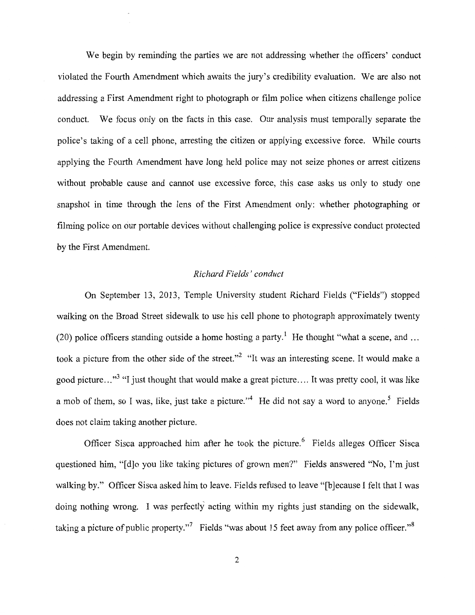We begin by reminding the parties we are not addressing whether the officers' conduct violated the Fourth Amendment which awaits the jury's credibility evaluation. We are also not addressing a First Amendment right to photograph or film police when citizens challenge police conduct. We focus only on the facts in this case. Our analysis must temporally separate the police's taking of a cell phone, arresting the citizen or applying excessive force. While courts applying the Fourth Amendment have long held police may not seize phones or arrest citizens without probable cause and cannot use excessive force, this case asks us only to study one snapshot in time through the lens of the First Amendment only: whether photographing or filming police on our portable devices without challenging police is expressive conduct protected by the First Amendment.

## *Richard Fields' conduct*

On September 13, 2013, Temple University student Richard Fields ("Fields") stopped walking on the Broad Street sidewalk to use his cell phone to photograph approximately twenty (20) police officers standing outside a home hosting a party.<sup>1</sup> He thought "what a scene, and ... took a picture from the other side of the street."<sup>2</sup> "It was an interesting scene. It would make a good picture..."<sup>3</sup> "I just thought that would make a great picture.... It was pretty cool, it was like a mob of them, so I was, like, just take a picture."<sup>4</sup> He did not say a word to anyone.<sup>5</sup> Fields does not claim taking another picture.

Officer Sisca approached him after he took the picture.<sup>6</sup> Fields alleges Officer Sisca questioned him, "[d]o you like taking pictures of grown men?" Fields answered "No, I'm just walking by." Officer Sisca asked him to leave. Fields refused to leave "[b]ecause I felt that I was doing nothing wrong. I was perfectly acting within my rights just standing on the sidewalk, taking a picture of public property."<sup>7</sup> Fields "was about 15 feet away from any police officer."<sup>8</sup>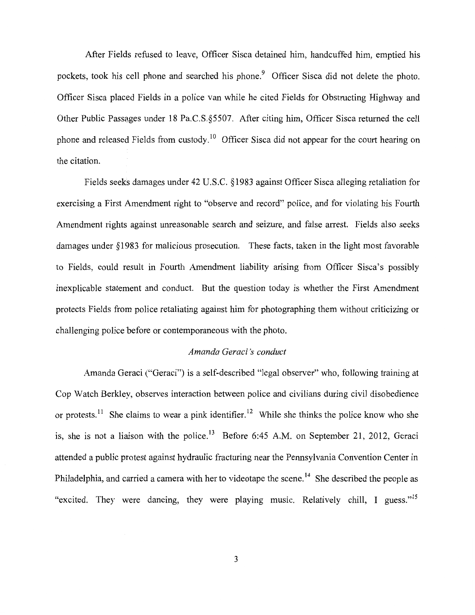After Fields refused to leave, Officer Sisca detained him, handcuffed him, emptied his pockets, took his cell phone and searched his phone.<sup>9</sup> Officer Sisca did not delete the photo. Officer Sisca placed Fields in a police van while he cited Fields for Obstructing Highway and Other Public Passages under 18 Pa.C.S.§5507. After citing him, Officer Sisca returned the cell phone and released Fields from custody.<sup>10</sup> Officer Sisca did not appear for the court hearing on the citation.

Fields seeks damages under 42 U.S.C. §1983 against Officer Sisca alleging retaliation for exercising a First Amendment right to "observe and record" police, and for violating his Fourth Amendment rights against unreasonable search and seizure, and false arrest. Fields also seeks damages under §1983 for malicious prosecution. These facts, taken in the light most favorable to Fields, could result in Fourth Amendment liability arising from Officer Sisca's possibly inexplicable statement and conduct. But the question today is whether the First Amendment protects Fields from police retaliating against him for photographing them without criticizing or challenging police before or contemporaneous with the photo.

#### *Amanda Geraci 's conduct*

Amanda Geraci ("Geraci") is a self-described "legal observer" who, following training at Cop Watch Berkley, observes interaction between police and civilians during civil disobedience or protests.<sup>11</sup> She claims to wear a pink identifier.<sup>12</sup> While she thinks the police know who she is, she is not a liaison with the police.<sup>13</sup> Before 6:45 A.M. on September 21, 2012, Geraci attended a public protest against hydraulic fracturing near the Pennsylvania Convention Center in Philadelphia, and carried a camera with her to videotape the scene.<sup>14</sup> She described the people as "excited. They were dancing, they were playing music. Relatively chill, I guess."<sup>15</sup>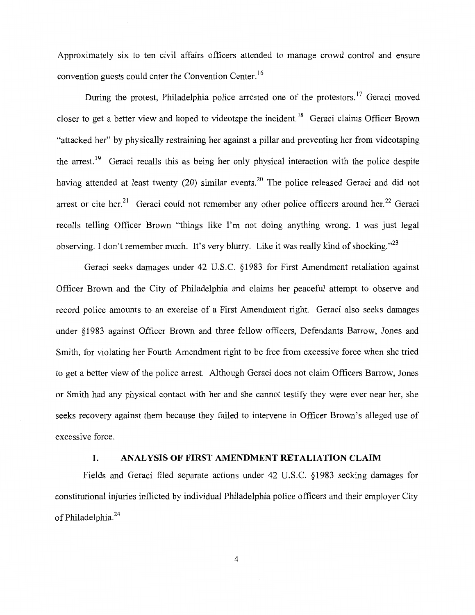Approximately six to ten civil affairs officers attended to manage crowd control and ensure convention guests could enter the Convention Center. <sup>16</sup>

During the protest, Philadelphia police arrested one of the protestors.<sup>17</sup> Geraci moved closer to get a better view and hoped to videotape the incident.<sup>18</sup> Geraci claims Officer Brown "attacked her" by physically restraining her against a pillar and preventing her from videotaping the arrest.<sup>19</sup> Geraci recalls this as being her only physical interaction with the police despite having attended at least twenty (20) similar events.<sup>20</sup> The police released Geraci and did not arrest or cite her.<sup>21</sup> Geraci could not remember any other police officers around her.<sup>22</sup> Geraci recalls telling Officer Brown "things like I'm not doing anything wrong. I was just legal observing. I don't remember much. It's very blurry. Like it was really kind of shocking."<sup>23</sup>

Geraci seeks damages under 42 U.S.C. §1983 for First Amendment retaliation against Officer Brown and the City of Philadelphia and claims her peaceful attempt to observe and record police amounts to an exercise of a First Amendment right. Geraci also seeks damages under § 1983 against Officer Brown and three fellow officers, Defendants Barrow, Jones and Smith, for violating her Fourth Amendment right to be free from excessive force when she tried to get a better view of the police arrest. Although Geraci does not claim Officers Barrow, Jones or Smith had any physical contact with her and she cannot testify they were ever near her, she seeks recovery against them because they failed to intervene in Officer Brown's alleged use of excessive force.

#### **I. ANALYSIS OF FIRST AMENDMENT RETALIATION CLAIM**

Fields and Geraci filed separate actions under 42 U.S.C. §1983 seeking damages for constitutional injuries inflicted by individual Philadelphia police officers and their employer City of Philadelphia.<sup>24</sup>

4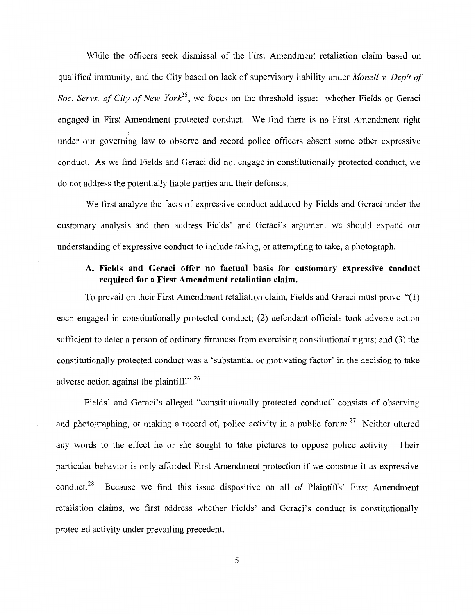While the officers seek dismissal of the First Amendment retaliation claim based on qualified immunity, and the City based on lack of supervisory liability under *Monell v. Dep't of Soc. Servs. of City of New York*<sup>25</sup>, we focus on the threshold issue: whether Fields or Geraci engaged in First Amendment protected conduct. We find there is no First Amendment right under our governing law to observe and record police officers absent some other expressive conduct. As we find Fields and Geraci did not engage in constitutionally protected conduct, we do not address the potentially liable parties and their defenses.

We first analyze the facts of expressive conduct adduced by Fields and Geraci under the customary analysis and then address Fields' and Geraci's argument we should expand our understanding of expressive conduct to include taking, or attempting to take, a photograph.

# **A. Fields and Geraci offer no factual basis for customary expressive conduct required for a First Amendment retaliation claim.**

To prevail on their First Amendment retaliation claim, Fields and Geraci must prove "(1) each engaged in constitutionally protected conduct; (2) defendant officials took adverse action sufficient to deter a person of ordinary firmness from exercising constitutional rights; and (3) the constitutionally protected conduct was a 'substantial or motivating factor' in the decision to take adverse action against the plaintiff."  $26$ 

Fields' and Geraci's alleged "constitutionally protected conduct" consists of observing and photographing, or making a record of, police activity in a public forum.<sup>27</sup> Neither uttered any words to the effect he or she sought to take pictures to oppose police activity. Their particular behavior is only afforded First Amendment protection if we construe it as expressive conduct.<sup>28</sup> Because we find this issue dispositive on all of Plaintiffs' First Amendment retaliation claims, we first address whether Fields' and Geraci's conduct is constitutionally protected activity under prevailing precedent.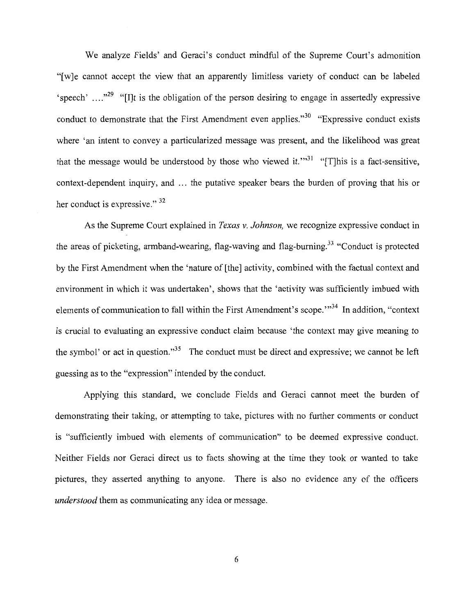We analyze Fields' and Geraci's conduct mindful of the Supreme Court's admonition "[w]e cannot accept the view that an apparently limitless variety of conduct can be labeled 'speech' ...."<sup>29</sup> "[I]t is the obligation of the person desiring to engage in assertedly expressive conduct to demonstrate that the First Amendment even applies."<sup>30</sup> "Expressive conduct exists where 'an intent to convey a particularized message was present, and the likelihood was great that the message would be understood by those who viewed it."<sup>31</sup> "[T]his is a fact-sensitive, context-dependent inquiry, and ... the putative speaker bears the burden of proving that his or her conduct is expressive." <sup>32</sup>

As the Supreme Court explained in *Texas* v. *Johnson,* we recognize expressive conduct in the areas of picketing, armband-wearing, flag-waving and flag-burning.<sup>33</sup> "Conduct is protected by the First Amendment when the 'nature of [the] activity, combined with the factual context and environment in which it was undertaken', shows that the 'activity was sufficiently imbued with elements of communication to fall within the First Amendment's scope."<sup>34</sup> In addition, "context is crucial to evaluating an expressive conduct claim because 'the context may give meaning to the symbol' or act in question."<sup>35</sup> The conduct must be direct and expressive; we cannot be left guessing as to the "expression" intended by the conduct.

Applying this standard, we conclude Fields and Geraci cannot meet the burden of demonstrating their taking, or attempting to take, pictures with no further comments or conduct is "sufficiently imbued with elements of communication" to be deemed expressive conduct. Neither Fields nor Geraci direct us to facts showing at the time they took or wanted to take pictures, they asserted anything to anyone. There is also no evidence any of the officers *understood* them as communicating any idea or message.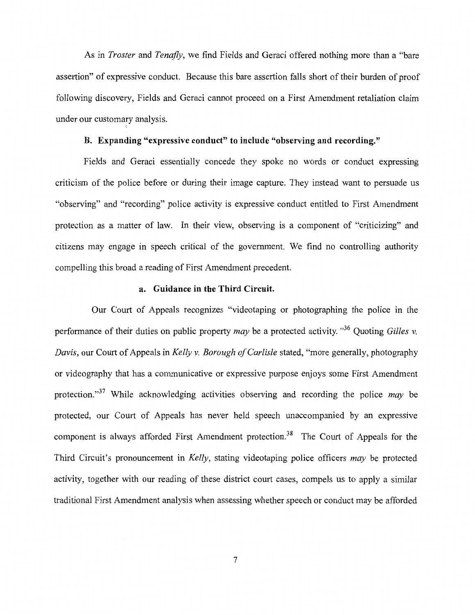As in *Traster* and *Tenafly,* we find Fields and Geraci offered nothing more than a "bare assertion" of expressive conduct. Because this bare assertion falls short of their burden of proof following discovery, Fields and Geraci cannot proceed on a First Amendment retaliation claim under our customary analysis.

### B. Expanding "expressive conduct" to include "observing and recording."

Fields and Geraci essentially concede they spoke no words or conduct expressing criticism of the police before or during their image capture. They instead want to persuade us "observing" and "recording" police activity is expressive conduct entitled to First Amendment protection as a matter of law. In their view, observing is a component of "criticizing" and citizens may engage in speech critical of the government. We find no controlling authority compelling this broad a reading of First Amendment precedent.

## a. Guidance in the Third Circuit.

Our Court of Appeals recognizes "videotaping or photographing the police in the performance of their duties on public property *may* be a protected activity. " 36 Quoting *Gilles v. Davis,* our Court of Appeals in *Kelly v. Borough of Carlisle* stated, "more generally, photography or videography that has a communicative or expressive purpose enjoys some First Amendment protection."37 While acknowledging activities observing and recording the police *may* be protected, our Court of Appeals has never held speech unaccompanied by an expressive component is always afforded First Amendment protection.<sup>38</sup> The Court of Appeals for the Third Circuit's pronouncement in *Kelly,* stating videotaping police officers *may* be protected activity, together with our reading of these district court cases, compels us to apply a similar traditional First Amendment analysis when assessing whether speech or conduct may be afforded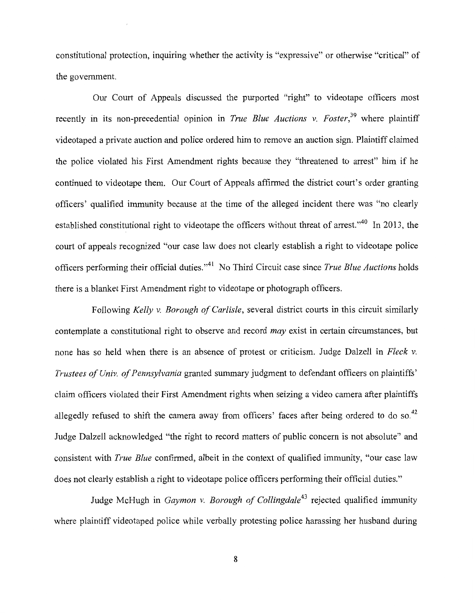constitutional protection, inquiring whether the activity is "expressive" or otherwise "critical" of the government.

Our Court of Appeals discussed the purported "right" to videotape officers most recently in its non-precedential opinion in *True Blue Auctions v. Foster*,<sup>39</sup> where plaintiff videotaped a private auction and police ordered him to remove an auction sign. Plaintiff claimed the police violated his First Amendment rights because they "threatened to arrest" him if he continued to videotape them. Our Court of Appeals affirmed the district court's order granting officers' qualified immunity because at the time of the alleged incident there was "no clearly established constitutional right to videotape the officers without threat of arrest."<sup>40</sup> In 2013, the court of appeals recognized "our case law does not clearly establish a right to videotape police officers performing their official duties."41 No Third Circuit case since *True Blue Auctions* holds there is a blanket First Amendment right to videotape or photograph officers.

Following *Kelly v. Borough of Carlisle,* several district courts in this circuit similarly contemplate a constitutional right to observe and record *may* exist in certain circumstances, but none has so held when there is an absence of protest or criticism. Judge Dalzell in *Fleck v. Trustees of Univ. of Pennsylvania* granted summary judgment to defendant officers on plaintiffs' claim officers violated their First Amendment rights when seizing a video camera after plaintiffs allegedly refused to shift the camera away from officers' faces after being ordered to do so.<sup>42</sup> Judge Dalzell acknowledged "the right to record matters of public concern is not absolute" and consistent with *True Blue* confirmed, albeit in the context of qualified immunity, "our case law does not clearly establish a right to videotape police officers performing their official duties."

Judge McHugh in *Gaymon v. Borough of Collingdale43* rejected qualified immunity where plaintiff videotaped police while verbally protesting police harassing her husband during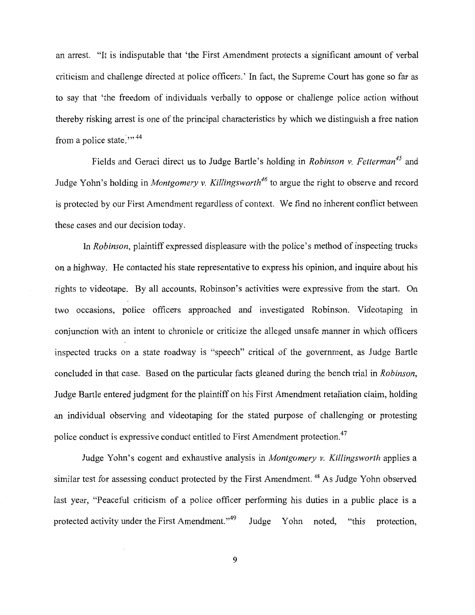an arrest. "It is indisputable that 'the First Amendment protects a significant amount of verbal criticism and challenge directed at police officers.' In fact, the Supreme Court has gone so far as to say that 'the freedom of individuals verbally to oppose or challenge police action without thereby risking arrest is one of the principal characteristics by which we distinguish a free nation from a police state. $\cdots$ <sup>44</sup>

Fields and Geraci direct us to Judge Bartle's holding in *Robinson v. Fetterman<sup>45</sup>*and Judge Yohn's holding in *Montgomery v. Killingsworth<sup>46</sup>* to argue the right to observe and record is protected by our First Amendment regardless of context. We find no inherent conflict between these cases and our decision today.

In *Robinson,* plaintiff expressed displeasure with the police's method of inspecting trucks on a highway. He contacted his state representative to express his opinion, and inquire about his rights to videotape. By all accounts, Robinson's activities were expressive from the start. On two occasions, police officers approached and investigated Robinson. Videotaping in conjunction with an intent to chronicle or criticize the alleged unsafe manner in which officers inspected trucks on a state roadway is "speech" critical of the government, as Judge Bartle concluded in that case. Based on the particular facts gleaned during the bench trial in *Robinson,*  Judge Bartle entered judgment for the plaintiff on his First Amendment retaliation claim, holding an individual observing and videotaping for the stated purpose of challenging or protesting police conduct is expressive conduct entitled to First Amendment protection.<sup>47</sup>

Judge Yohn's cogent and exhaustive analysis in *Montgomery v. Killingsworth* applies a similar test for assessing conduct protected by the First Amendment.<sup>48</sup> As Judge Yohn observed last year, "Peaceful criticism of a police officer performing his duties in a public place is a protected activity under the First Amendment."<sup>49</sup> Judge Yohn noted, "this protection,

9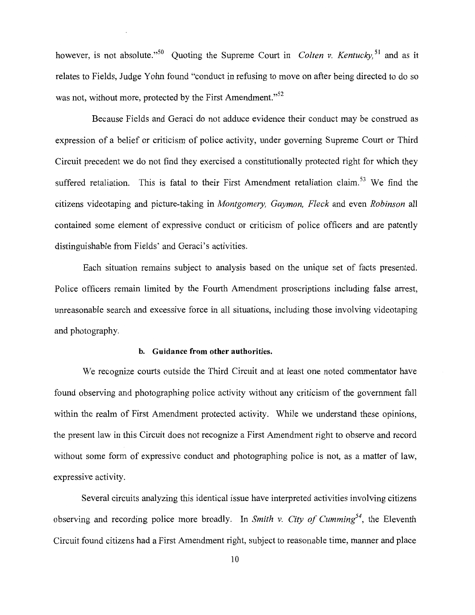however, is not absolute."<sup>50</sup> Quoting the Supreme Court in *Colten v. Kentucky*,<sup>51</sup> and as it relates to Fields, Judge Yohn found "conduct in refusing to move on after being directed to do so was not, without more, protected by the First Amendment."<sup>52</sup>

Because Fields and Geraci do not adduce evidence their conduct may be construed as expression of a belief or criticism of police activity, under governing Supreme Court or Third Circuit precedent we do not find they exercised a constitutionally protected right for which they suffered retaliation. This is fatal to their First Amendment retaliation claim.<sup>53</sup> We find the citizens videotaping and picture-taking in *Montgomery, Gaymon, Fleck* and even *Robinson* all contained some element of expressive conduct or criticism of police officers and are patently distinguishable from Fields' and Geraci's activities.

Each situation remains subject to analysis based on the unique set of facts presented. Police officers remain limited by the Fourth Amendment proscriptions including false arrest, unreasonable search and excessive force in all situations, including those involving videotaping and photography.

#### **b. Guidance from other authorities.**

We recognize courts outside the Third Circuit and at least one noted commentator have found observing and photographing police activity without any criticism of the government fall within the realm of First Amendment protected activity. While we understand these opinions, the present law in this Circuit does not recognize a First Amendment right to observe and record without some form of expressive conduct and photographing police is not, as a matter of law, expressive activity.

Several circuits analyzing this identical issue have interpreted activities involving citizens observing and recording police more broadly. In *Smith v. City of Cumming*<sup>54</sup>, the Eleventh Circuit found citizens had a First Amendment right, subject to reasonable time, manner and place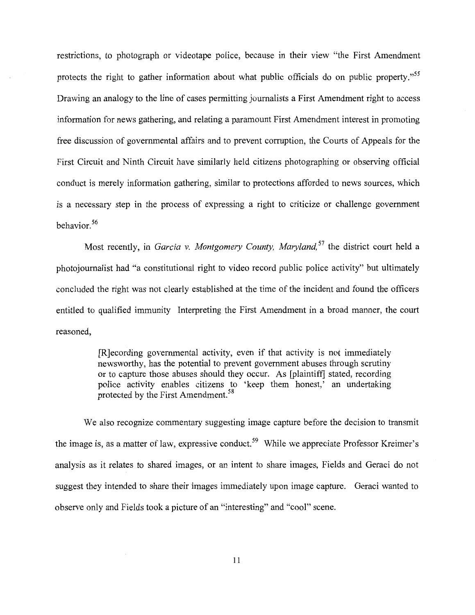restrictions, to photograph or videotape police, because in their view "the First Amendment protects the right to gather information about what public officials do on public property."<sup>55</sup> Drawing an analogy to the line of cases permitting journalists a First Amendment right to access information for news gathering, and relating a paramount First Amendment interest in promoting free discussion of governmental affairs and to prevent corruption, the Courts of Appeals for the First Circuit and Ninth Circuit have similarly held citizens photographing or observing official conduct is merely information gathering, similar to protections afforded to news sources, which is a necessary step in the process of expressing a right to criticize or challenge government behavior. 56

Most recently, in *Garcia v. Montgomery County, Maryland*,<sup>57</sup> the district court held a photojournalist had "a constitutional right to video record public police activity" but ultimately concluded the right was not clearly established at the time of the incident and found the officers entitled to qualified immunity Interpreting the First Amendment in a broad manner, the court reasoned,

> [R]ecording governmental activity, even if that activity is not immediately newsworthy, has the potential to prevent government abuses through scrutiny or to capture those abuses should they occur. As [plaintiff] stated, recording police activity enables citizens to 'keep them honest,' an undertaking protected by the First Amendment.<sup>58</sup>

We also recognize commentary suggesting image capture before the decision to transmit the image is, as a matter of law, expressive conduct.<sup>59</sup> While we appreciate Professor Kreimer's analysis as it relates to shared images, or an intent to share images, Fields and Geraci do not suggest they intended to share their images immediately upon image capture. Geraci wanted to observe only and Fields took a picture of an "interesting" and "cool" scene.

11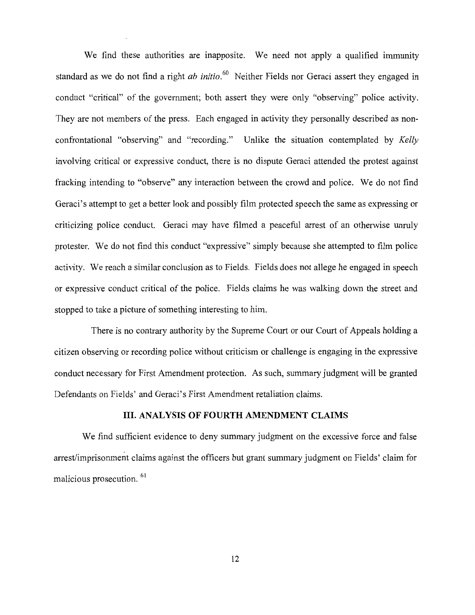We find these authorities are inapposite. We need not apply a qualified immunity standard as we do not find a right *ab initio.* 60 Neither Fields nor Geraci assert they engaged in conduct "critical" of the government; both assert they were only "observing" police activity. They are not members of the press. Each engaged in activity they personally described as nonconfrontational "observing" and "recording." Unlike the situation contemplated by *Kelly*  involving critical or expressive conduct, there is no dispute Geraci attended the protest against fracking intending to "observe" any interaction between the crowd and police. We do not find Geraci's attempt to get a better look and possibly film protected speech the same as expressing or criticizing police conduct. Geraci may have filmed a peaceful arrest of an otherwise unruly protester. We do not find this conduct "expressive" simply because she attempted to film police activity. We reach a similar conclusion as to Fields. Fields does not allege he engaged in speech or expressive conduct critical of the police. Fields claims he was walking down the street and stopped to take a picture of something interesting to him.

There is no contrary authority by the Supreme Court or our Court of Appeals holding a citizen observing or recording police without criticism or challenge is engaging in the expressive conduct necessary for First Amendment protection. As such, summary judgment will be granted Defendants on Fields' and Geraci's First Amendment retaliation claims.

#### **III. ANALYSIS OF FOURTH AMENDMENT CLAIMS**

We find sufficient evidence to deny summary judgment on the excessive force and false arrest/imprisonment claims against the officers but grant summary judgment on Fields' claim for malicious prosecution.<sup>61</sup>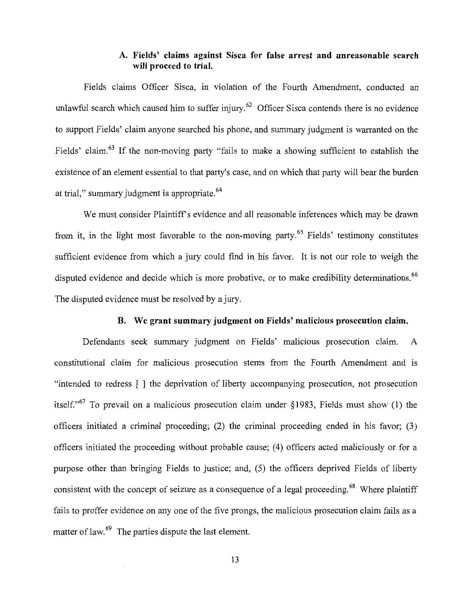# **A. Fields' claims against Sisca for false arrest and unreasonable search will proceed to trial.**

Fields claims Officer Sisca, in violation of the Fourth Amendment, conducted an unlawful search which caused him to suffer injury.<sup>62</sup> Officer Sisca contends there is no evidence to support Fields' claim anyone searched his phone, and summary judgment is warranted on the Fields' claim.<sup>63</sup> If the non-moving party "fails to make a showing sufficient to establish the existence of an element essential to that party's case, and on which that party will bear the burden at trial," summary judgment is appropriate. <sup>64</sup>

We must consider Plaintiff's evidence and all reasonable inferences which may be drawn from it, in the light most favorable to the non-moving party.<sup>65</sup> Fields' testimony constitutes sufficient evidence from which a jury could find in his favor. It is not our role to weigh the disputed evidence and decide which is more probative, or to make credibility determinations.<sup>66</sup> The disputed evidence must be resolved by a jury.

#### **B. We grant summary judgment on Fields' malicious prosecution claim.**

Defendants seek summary judgment on Fields' malicious prosecution claim. A constitutional claim for malicious prosecution stems from the Fourth Amendment and 1s "intended to redress [ ] the deprivation of liberty accompanying prosecution, not prosecution itself."<sup>67</sup> To prevail on a malicious prosecution claim under §1983, Fields must show (1) the officers initiated a criminal proceeding; (2) the criminal proceeding ended in his favor; (3) officers initiated the proceeding without probable cause; (4) officers acted maliciously or for a purpose other than bringing Fields to justice; and, (5) the officers deprived Fields of liberty consistent with the concept of seizure as a consequence of a legal proceeding.<sup>68</sup> Where plaintiff fails to proffer evidence on any one of the five prongs, the malicious prosecution claim fails as a matter of law.<sup>69</sup> The parties dispute the last element.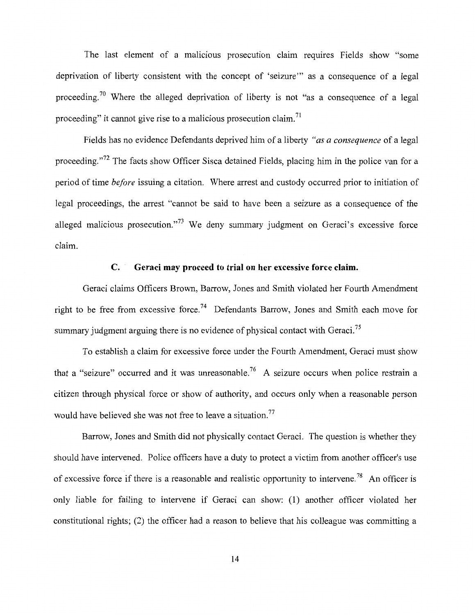The last element of a malicious prosecution claim requires Fields show "some deprivation of liberty consistent with the concept of 'seizure"' as a consequence of a legal proceeding.<sup>70</sup> Where the alleged deprivation of liberty is not "as a consequence of a legal proceeding" it cannot give rise to a malicious prosecution claim. <sup>71</sup>

Fields has no evidence Defendants deprived him of a liberty *"as a consequence* of a legal proceeding."<sup>72</sup> The facts show Officer Sisca detained Fields, placing him in the police van for a period of time *before* issuing a citation. Where arrest and custody occurred prior to initiation of legal proceedings, the arrest "cannot be said to have been a seizure as a consequence of the alleged malicious prosecution."<sup>73</sup> We deny summary judgment on Geraci's excessive force claim.

## **C. Geraci may proceed to trial on her excessive force claim.**

Geraci claims Officers Brown, Barrow, Jones and Smith violated her Fourth Amendment right to be free from excessive force.<sup>74</sup> Defendants Barrow, Jones and Smith each move for summary judgment arguing there is no evidence of physical contact with Geraci.<sup>75</sup>

To establish a claim for excessive force under the Fourth Amendment, Geraci must show that a "seizure" occurred and it was unreasonable.<sup>76</sup> A seizure occurs when police restrain a citizen through physical force or show of authority, and occurs only when a reasonable person would have believed she was not free to leave a situation.<sup>77</sup>

Barrow, Jones and Smith did not physically contact Geraci. The question is whether they should have intervened. Police officers have a duty to protect a victim from another officer's use of excessive force if there is a reasonable and realistic opportunity to intervene.<sup>78</sup> An officer is only liable for failing to intervene if Geraci can show: (1) another officer violated her constitutional rights; (2) the officer had a reason to believe that his colleague was committing a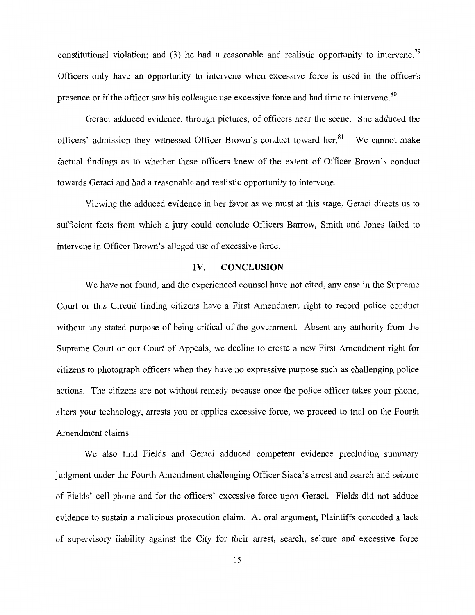constitutional violation; and  $(3)$  he had a reasonable and realistic opportunity to intervene.<sup>79</sup> Officers only have an opportunity to intervene when excessive force is used in the officer's presence or if the officer saw his colleague use excessive force and had time to intervene.<sup>80</sup>

Geraci adduced evidence, through pictures, of officers near the scene. She adduced the officers' admission they witnessed Officer Brown's conduct toward her.<sup>81</sup> We cannot make factual findings as to whether these officers knew of the extent of Officer Brown's conduct towards Geraci and had a reasonable and realistic opportunity to intervene.

Viewing the adduced evidence in her favor as we must at this stage, Geraci directs us to sufficient facts from which a jury could conclude Officers Barrow, Smith and Jones failed to intervene in Officer Brown's alleged use of excessive force.

#### **IV. CONCLUSION**

We have not found, and the experienced counsel have not cited, any case in the Supreme Court or this Circuit finding citizens have a First Amendment right to record police conduct without any stated purpose of being critical of the government. Absent any authority from the Supreme Court or our Court of Appeals, we decline to create a new First Amendment right for citizens to photograph officers when they have no expressive purpose such as challenging police actions. The citizens are not without remedy because once the police officer takes your phone, alters your technology, arrests you or applies excessive force, we proceed to trial on the Fourth Amendment claims.

We also find Fields and Geraci adduced competent evidence precluding summary judgment under the Fourth Amendment challenging Officer Sisca's arrest and search and seizure of Fields' cell phone and for the officers' excessive force upon Geraci. Fields did not adduce evidence to sustain a malicious prosecution claim. At oral argument, Plaintiffs conceded a lack of supervisory liability against the City for their arrest, search, seizure and excessive force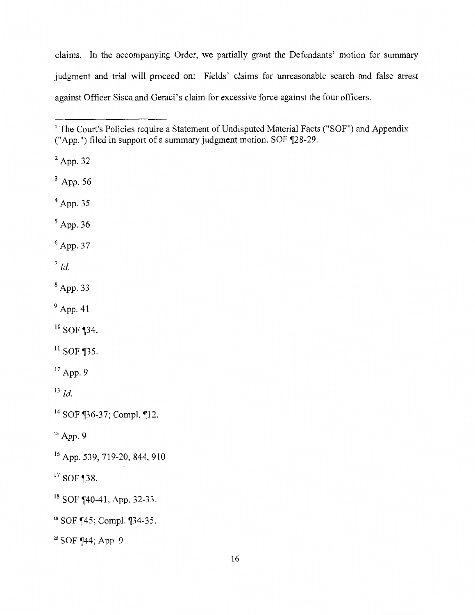claims. In the accompanying Order, we partially grant the Defendants' motion for summary judgment and trial will proceed on: Fields' claims for unreasonable search and false arrest against Officer Sisca and Geraci's claim for excessive force against the four officers.

2 App. 32

3 App. 56

4 App. 35

 $<sup>5</sup>$  App. 36</sup>

 $6$  App. 37

 $^7$  *Id.* 

 $8$  App. 33

<sup>9</sup> App. 41

 $10$  SOF ¶34.

 $11$  SOF ¶35.

 $12$  App. 9

 $^{13}$  *Id.* 

<sup>14</sup> SOF ¶36-37; Compl. ¶12.

 $15$  App. 9

16 App. 539, 719-20, 844, 910

 $17$  SOF ¶38.

<sup>18</sup> SOF ¶40-41, App. 32-33.

<sup>19</sup> SOF ¶45; Compl. ¶34-35.

 $20$  SOF  $\P$ 44; App. 9

<sup>&</sup>lt;sup>1</sup> The Court's Policies require a Statement of Undisputed Material Facts ("SOF") and Appendix ("App.") filed in support of a summary judgment motion. SOF  $\P$ 28-29.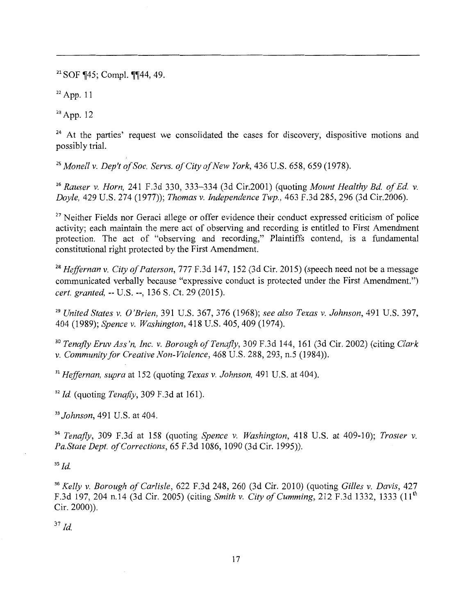$21$  SOF  $\P{45}$ ; Compl.  $\P{44}$ , 49.

 $22$  App. 11

 $23$  App. 12

<sup>24</sup> At the parties' request we consolidated the cases for discovery, dispositive motions and possibly trial.

<sup>25</sup>*Monell v. Dep't of Soc. Servs. of City of New York,* 436 U.S. 658, 659 (1978).

<sup>26</sup>*Rauser v. Horn,* 241 F.3d 330, 333-334 (3d Cir.2001) (quoting *Mount Healthy Bd. of Ed. v. Doyle,* 429 U.S. 274 (1977)); *Thomas v. Independence Twp.,* 463 F.3d 285, 296 (3d Cir.2006).

<sup>27</sup> Neither Fields nor Geraci allege or offer evidence their conduct expressed criticism of police activity; each maintain the mere act of observing and recording is entitled to First Amendment protection. The act of "observing and recording," Plaintiffs contend, is a fundamental constitutional right protected by the First Amendment.

<sup>28</sup>*Heffernan v. City of Paterson,* 777 F.3d 147, 152 (3d Cir. 2015) (speech need not be a message communicated verbally because "expressive conduct is protected under the First Amendment.") *cert. granted,* -- U.S.--, 136 S. Ct. 29 (2015).

<sup>29</sup>*United States v. O'Brien,* 391 U.S. 367, 376 (1968); *see also Texas v. Johnson,* 491 U.S. 397, 404 (1989); *Spence v. Washington,* 418 U.S. 405, 409 (1974).

<sup>30</sup>*Tenafly Eruv Ass 'n, Inc. v. Borough of Tenafly,* 309 F.3d 144, 161 (3d Cir. 2002) (citing *Clark v. Community for Creative Non-Violence,* 468 U.S. 288, 293, n.5 (1984)).

<sup>31</sup>*Heffernan, supra* at 152 (quoting *Texas v. Johnson,* 491 U.S. at 404).

<sup>32</sup>*Id.* (quoting *Tenafly,* 309 F.3d at 161).

<sup>33</sup>*Johnson,* 491 U.S. at 404.

<sup>34</sup> Tenafly, 309 F.3d at 158 (quoting *Spence v. Washington*, 418 U.S. at 409-10); *Troster v. Pa.State Dept. of Corrections,* 65 F.3d 1086, 1090 (3d Cir. 1995)).

 $35$  *Id.* 

<sup>36</sup>*Kelly v. Borough of Carlisle,* 622 F.3d 248, 260 (3d Cir. 2010) (quoting *Gilles v. Davis,* 427 F.3d 197, 204 n.14 (3d Cir. 2005) (citing *Smith v. City of Cumming,* 212 F.3d 1332, 1333 (11th Cir. 2000)).

 $37$  *Id.*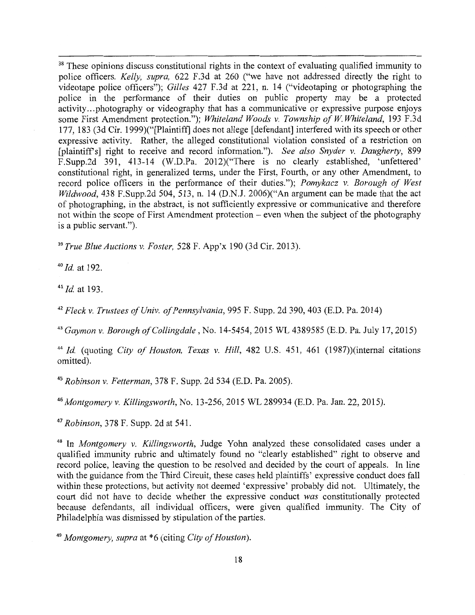<sup>38</sup> These opinions discuss constitutional rights in the context of evaluating qualified immunity to police officers. *Kelly, supra,* 622 F.3d at 260 ("we have not addressed directly the right to videotape police officers"); *Gilles* 427 F.3d at 221, n. 14 ("videotaping or photographing the police in the performance of their duties on public property may be a protected activity ... photography or videography that has a communicative or expressive purpose enjoys some First Amendment protection."); *Whiteland Woods v. Township of W Whiteland,* 193 F.3d 177, 183 (3d Cir. 1999)("[Plaintiff] does not allege [defendant] interfered with its speech or other expressive activity. Rather, the alleged constitutional violation consisted of a restriction on [plaintiffs] right to receive and record information."). *See also Snyder v. Daugherty,* 899 F.Supp.2d 391, 413-14 (W.D.Pa. 2012)("There is no clearly established, 'unfettered' constitutional right, in generalized terms, under the First, Fourth, or any other Amendment, to record police officers in the performance of their duties."); *Pomykacz v. Borough of West Wildwood,* 438 F.Supp.2d 504, 513, n. 14 (D.N.J. 2006)("An argument can be made that the act of photographing, in the abstract, is not sufficiently expressive or communicative and therefore not within the scope of First Amendment protection – even when the subject of the photography is a public servant.").

<sup>39</sup>*True Blue Auctions v. Foster,* 528 F. App'x 190 (3d Cir. 2013).

<sup>40</sup>*Id.* at 192.

<sup>41</sup>*Id.* at 193.

<sup>42</sup>*Fleck v. Trustees of Univ. of Pennsylvania,* 995 F. Supp. 2d 390, 403 (E.D. Pa. 2014)

<sup>43</sup>*Gaymon v. Borough of Collingdale,* No. 14-5454, 2015 WL 4389585 (E.D. Pa. July 17, 2015)

<sup>44</sup>*Id.* (quoting *City of Houston, Texas v. Hill,* 482 U.S. 451, 461 (1987))(intemal citations omitted).

<sup>45</sup>*Robinson v. Fetterman,* 378 F. Supp. 2d 534 (E.D. Pa. 2005).

<sup>46</sup>*Montgomery v. Killingsworth,* No. 13-256, 2015 WL 289934 (E.D. Pa. Jan. 22, 2015).

<sup>47</sup>*Robinson,* 378 F. Supp. 2d at 541.

48 In *Montgomery v. Killingsworth,* Judge Yohn analyzed these consolidated cases under a qualified immunity rubric and ultimately found no "clearly established" right to observe and record police, leaving the question to be resolved and decided by the court of appeals. In line with the guidance from the Third Circuit, these cases held plaintiffs' expressive conduct does fall within these protections, but activity not deemed 'expressive' probably did not. Ultimately, the court did not have to decide whether the expressive conduct *was* constitutionally protected because defendants, all individual officers, were given qualified immunity. The City of Philadelphia was dismissed by stipulation of the parties.

<sup>49</sup>*Montgomery, supra* at \*6 (citing *City of Houston).*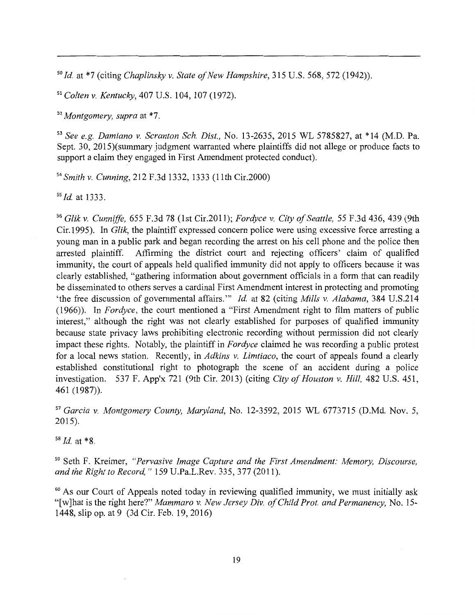<sup>50</sup>*Id.* at \*7 (citing *Chaplinsky v. State of New Hampshire,* 315 U.S. 568, 572 (1942)).

<sup>51</sup>*Colten v. Kentucky,* 407 U.S. 104, 107 (1972).

<sup>52</sup>*Montgomery, supra* at \*7.

<sup>53</sup>*See e.g. Damiano v. Scranton Sch. Dist.,* No. 13-2635, 2015 WL 5785827, at \*14 (M.D. Pa. Sept. 30, 2015)(summary judgment warranted where plaintiffs did not allege or produce facts to support a claim they engaged in First Amendment protected conduct).

<sup>54</sup>*Smith v. Cunning,* 212 F.3d 1332, 1333 (1 lth Cir.2000)

ss *Id.* at 1333.

<sup>56</sup>*Glik v. Cunniffe,* 655 F.3d 78 (1st Cir.2011); *Fordyce v. City of Seattle,* 55 F.3d 436, 439 (9th Cir.1995). In *Glik,* the plaintiff expressed concern police were using excessive force arresting a young man in a public park and began recording the arrest on his cell phone and the police then arrested plaintiff. Affirming the district court and rejecting officers' claim of qualified immunity, the court of appeals held qualified immunity did not apply to officers because it was clearly established, "gathering information about government officials in a form that can readily be disseminated to others serves a cardinal First Amendment interest in protecting and promoting 'the free discussion of governmental affairs."' *Id.* at 82 (citing *Mills v. Alabama,* 384 U.S.214 (1966)). In *Fordyce,* the court mentioned a "First Amendment right to film matters of public interest," although the right was not clearly established for purposes of qualified immunity because state privacy laws prohibiting electronic recording without permission did not clearly impact these rights. Notably, the plaintiff in *Fordyce* claimed he was recording a public protest for a local news station. Recently, in *Adkins v. Limtiaco,* the court of appeals found a clearly established constitutional right to photograph the scene of an accident during a police investigation. 537 F. App'x 721 (9th Cir. 2013) (citing *City of Houston v. Hill,* 482 U.S. 451, 461 (1987)).

<sup>57</sup>*Garcia v. Montgomery County, Maryland,* No. 12-3592, 2015 WL 6773715 (D.Md. Nov. 5, 2015).

<sup>58</sup>*Id.* at \*8.

59 Seth F. Kreimer, *"Pervasive Image Capture and the First Amendment: Memory, Discourse, and the Right to Record,"* 159 U.Pa.L.Rev. 335, 377 (2011).

<sup>60</sup> As our Court of Appeals noted today in reviewing qualified immunity, we must initially ask "[w]hat is the right here?" *Mammaro v. New Jersey Div. of Child Prat. and Permanency,* No. 15- 1448, slip op. at 9 (3d Cir. Feb. 19, 2016)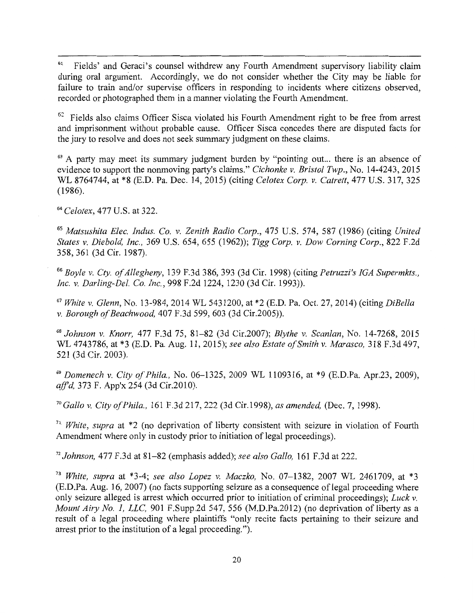<sup>61</sup> Fields' and Geraci's counsel withdrew any Fourth Amendment supervisory liability claim during oral argument. Accordingly, we do not consider whether the City may be liable for failure to train and/or supervise officers in responding to incidents where citizens observed, recorded or photographed them in a manner violating the Fourth Amendment.

 $62$  Fields also claims Officer Sisca violated his Fourth Amendment right to be free from arrest and imprisonment without probable cause. Officer Sisca concedes there are disputed facts for the jury to resolve and does not seek summary judgment on these claims.

<sup>63</sup> A party may meet its summary judgment burden by "pointing out... there is an absence of evidence to support the nonmoving party's claims." *Cichonke v. Bristol Twp.,* No. 14-4243, 2015 WL 8764744, at \*8 (E.D. Pa. Dec. 14, 2015) (citing *Celotex Corp. v. Catrett,* 477 U.S. 317, 325 (1986).

<sup>64</sup>*Celotex,* 477 U.S. at 322.

<sup>65</sup>*Matsushita Elec. Indus. Co. v. Zenith Radio Corp.,* 475 U.S. 574, 587 (1986) (citing *United States v. Diebold, Inc.,* 369 U.S. 654, 655 (1962)); *Tigg Corp. v. Dow Corning Corp.,* 822 F.2d 358, 361 (3d Cir. 1987).

<sup>66</sup>*Boyle v. Cty. of Allegheny,* 139 F.3d 386, 393 (3d Cir. 1998) (citing *Petruzzi's !GA Supermkts., Inc. v. Darling-Del. Co. Inc.,* 998 F.2d 1224, 1230 (3d Cir. 1993)).

<sup>67</sup>*White v. Glenn,* No. 13-984, 2014 WL 5431200, at \*2 (E.D. Pa. Oct. 27, 2014) (citing *DiBella v. Borough of Beachwood,* 407 F.3d 599, 603 (3d Cir.2005)).

<sup>68</sup>*Johnson v. Knorr,* 477 F.3d 75, 81-82 (3d Cir.2007); *Blythe v. Scanlan,* No. 14-7268, 2015 WL 4743786, at \*3 (E.D. Pa. Aug. 11, 2015); *see also Estate of Smith v. Marasco,* 318 F.3d 497, 521 (3d Cir. 2003).

<sup>69</sup>*Domenech v. City of Phila.,* No. 06-1325, 2009 WL 1109316, at \*9 (E.D.Pa. Apr.23, 2009), *affd,* 373 F. App'x 254 (3d Cir.2010).

<sup>70</sup>*Gallo v. City of Phila.,* 161 F.3d 217, 222 (3d Cir.1998), *as amended,* (Dec. 7, 1998).

<sup>71</sup>*White, supra* at \*2 (no deprivation of liberty consistent with seizure in violation of Fourth Amendment where only in custody prior to initiation of legal proceedings).

<sup>72</sup>*Johnson,* 477 F.3d at 81-82 (emphasis added); *see also Gallo,* 161 F.3d at 222.

<sup>73</sup>*White, supra* at \*3-4; *see also Lopez v. Maczko,* No. 07-1382, 2007 WL 2461709, at \*3 (E.D.Pa. Aug. 16, 2007) (no facts supporting seizure as a consequence of legal proceeding where only seizure alleged is arrest which occurred prior to initiation of criminal proceedings); *Luck v. Mount Airy No. 1, LLC, 901 F.Supp.2d 547, 556 (M.D.Pa.2012) (no deprivation of liberty as a* result of a legal proceeding where plaintiffs "only recite facts pertaining to their seizure and arrest prior to the institution of a legal proceeding.").